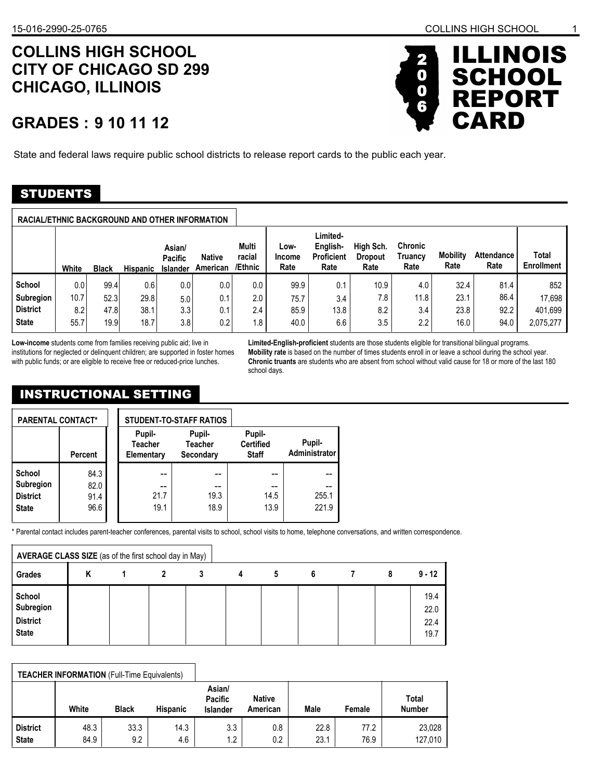# **COLLINS HIGH SCHOOL CHICAGO, ILLINOIS CITY OF CHICAGO SD 299**

# **9 10 11 12 GRADES :**

State and federal laws require public school districts to release report cards to the public each year.

## **STUDENTS**

|                  | <b>RACIAL/ETHNIC BACKGROUND AND OTHER INFORMATION</b> |                                 |      |     |                                                                                     |                  |                               |                                                   |                                     |                                   |                         |                           |                            |
|------------------|-------------------------------------------------------|---------------------------------|------|-----|-------------------------------------------------------------------------------------|------------------|-------------------------------|---------------------------------------------------|-------------------------------------|-----------------------------------|-------------------------|---------------------------|----------------------------|
|                  | White                                                 | <b>Black</b><br><b>Hispanic</b> |      |     | Asian/<br><b>Native</b><br><b>Pacific</b><br>/Ethnic<br>American<br><b>Islander</b> |                  | Low-<br><b>Income</b><br>Rate | Limited-<br>English-<br><b>Proficient</b><br>Rate | High Sch.<br><b>Dropout</b><br>Rate | <b>Chronic</b><br>Truancy<br>Rate | <b>Mobility</b><br>Rate | <b>Attendance</b><br>Rate | Total<br><b>Enrollment</b> |
| School           | 0.0                                                   | 99.4                            | 0.6  | 0.0 | 0.0                                                                                 | $0.0\,$          | 99.9                          | 0.1                                               | 10.9                                | 4.0                               | 32.4                    | 81.4                      | 852                        |
| <b>Subregion</b> | 10.7                                                  | 52.3                            | 29.8 | 5.0 | 0.1                                                                                 | 2.0 <sub>1</sub> | 75.7                          | 3.4                                               | 7.8                                 | 11.8                              | 23.1                    | 86.4                      | 17.698                     |
| <b>District</b>  | 8.2                                                   | 47.8                            | 38.1 | 3.3 | 0.1                                                                                 | 2.4              | 85.9                          | 13.8                                              | 8.2                                 | 3.4                               | 23.8                    | 92.2                      | 401.699                    |
| <b>State</b>     | 55.7                                                  | 19.9                            | 18.7 | 3.8 | 0.2                                                                                 | ' 8. ا           | 40.0                          | 6.6                                               | 3.5                                 | 2.2                               | 16.0                    | 94.0                      | 2,075,277                  |

**Low-income** students come from families receiving public aid; live in institutions for neglected or delinquent children; are supported in foster homes with public funds; or are eligible to receive free or reduced-price lunches.

**Limited-English-proficient** students are those students eligible for transitional bilingual programs. **Mobility rate** is based on the number of times students enroll in or leave a school during the school year. **Chronic truants** are students who are absent from school without valid cause for 18 or more of the last 180 school days.

# INSTRUCTIONAL SETTING

| <b>PARENTAL CONTACT*</b> |                |                                        | <b>STUDENT-TO-STAFF RATIOS</b>        |                                            |                         |
|--------------------------|----------------|----------------------------------------|---------------------------------------|--------------------------------------------|-------------------------|
|                          | <b>Percent</b> | Pupil-<br><b>Teacher</b><br>Elementary | Pupil-<br><b>Teacher</b><br>Secondary | Pupil-<br><b>Certified</b><br><b>Staff</b> | Pupil-<br>Administrator |
| School                   | 84.3           | --                                     |                                       |                                            | --                      |
| <b>Subregion</b>         | 82.0           | --                                     | --                                    |                                            | --                      |
| <b>District</b>          | 91.4           | 21.7                                   | 19.3                                  | 14.5                                       | 255.1                   |
| <b>State</b>             | 96.6           | 19.1                                   | 18.9                                  | 13.9                                       | 221.9                   |

\* Parental contact includes parent-teacher conferences, parental visits to school, school visits to home, telephone conversations, and written correspondence.

| AVERAGE CLASS SIZE (as of the first school day in May) |   |  |   |   |   |  |                              |
|--------------------------------------------------------|---|--|---|---|---|--|------------------------------|
| Grades                                                 | n |  | 3 | 5 | 6 |  | $9 - 12$                     |
| School<br>Subregion<br><b>District</b><br><b>State</b> |   |  |   |   |   |  | 19.4<br>22.0<br>22.4<br>19.7 |

|                                 | <b>TEACHER INFORMATION (Full-Time Equivalents)</b> |              |                 |                                      |                           |              |              |                        |
|---------------------------------|----------------------------------------------------|--------------|-----------------|--------------------------------------|---------------------------|--------------|--------------|------------------------|
|                                 | White                                              | <b>Black</b> | <b>Hispanic</b> | Asian/<br>Pacific<br><b>Islander</b> | <b>Native</b><br>American | <b>Male</b>  | Female       | Total<br><b>Number</b> |
| <b>District</b><br><b>State</b> | 48.3<br>84.9                                       | 33.3<br>9.2  | 14.3<br>4.6     | 3.3<br>1.2                           | 0.8<br>0.2                | 22.8<br>23.1 | 77.2<br>76.9 | 23,028<br>127,010      |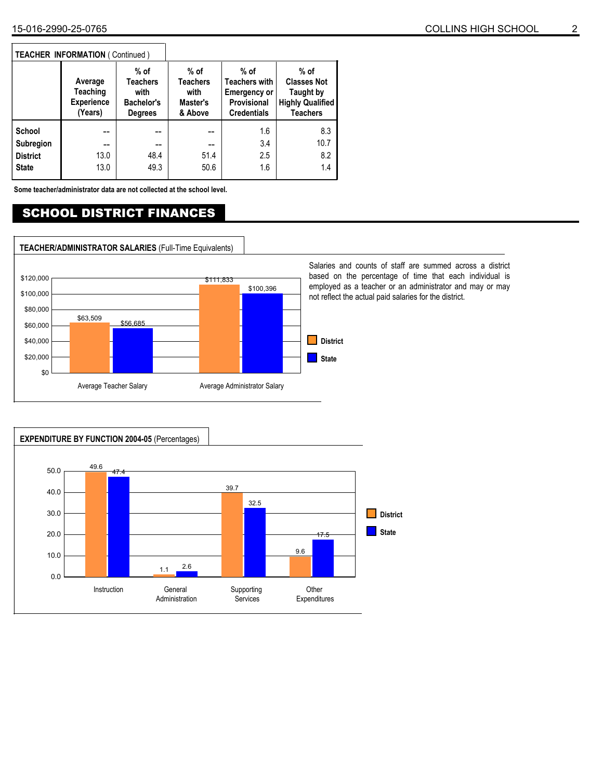#### **TEACHER INFORMATION** ( Continued )

|                                                        | Average<br>Teaching<br><b>Experience</b><br>(Years) | $%$ of<br><b>Teachers</b><br>with<br><b>Bachelor's</b><br><b>Degrees</b> | $%$ of<br><b>Teachers</b><br>with<br>Master's<br>& Above | $%$ of<br><b>Teachers with</b><br><b>Emergency or</b><br><b>Provisional</b><br><b>Credentials</b> | $%$ of<br><b>Classes Not</b><br>Taught by<br><b>Highly Qualified</b><br><b>Teachers</b> |
|--------------------------------------------------------|-----------------------------------------------------|--------------------------------------------------------------------------|----------------------------------------------------------|---------------------------------------------------------------------------------------------------|-----------------------------------------------------------------------------------------|
| School<br>Subregion<br><b>District</b><br><b>State</b> | --<br>13.0<br>13.0                                  | --<br>48.4<br>49.3                                                       | --<br>51.4<br>50.6                                       | 1.6<br>3.4<br>2.5<br>1.6                                                                          | 8.3<br>10.7<br>8.2<br>1.4                                                               |

**Some teacher/administrator data are not collected at the school level.**

### SCHOOL DISTRICT FINANCES



Salaries and counts of staff are summed across a district based on the percentage of time that each individual is employed as a teacher or an administrator and may or may not reflect the actual paid salaries for the district.

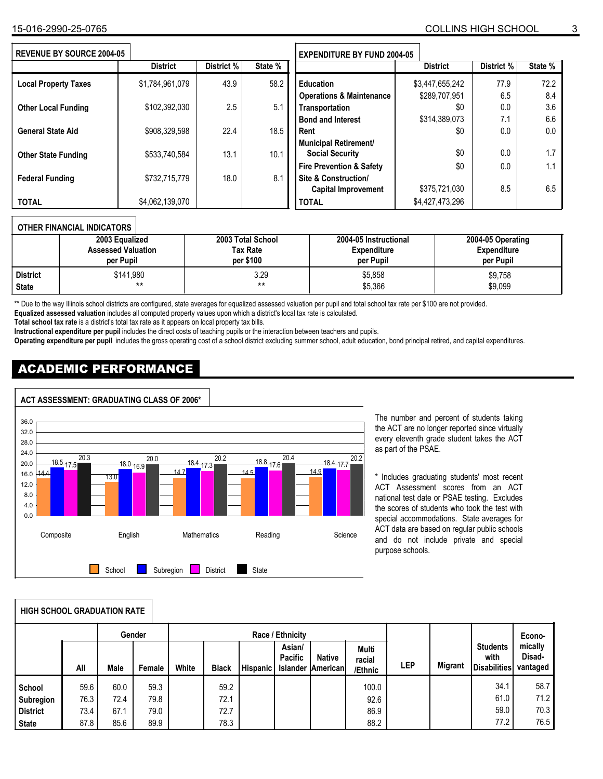| <b>REVENUE BY SOURCE 2004-05</b> |                 |            |         | <b>EXPENDITURE BY FUND 2004-05</b>  |                 |            |         |
|----------------------------------|-----------------|------------|---------|-------------------------------------|-----------------|------------|---------|
|                                  | <b>District</b> | District % | State % |                                     | <b>District</b> | District % | State % |
| <b>Local Property Taxes</b>      | \$1,784,961,079 | 43.9       | 58.2    | <b>Education</b>                    | \$3,447,655,242 | 77.9       | 72.2    |
|                                  |                 |            |         | <b>Operations &amp; Maintenance</b> | \$289,707,951   | 6.5        | 8.4     |
| <b>Other Local Funding</b>       | \$102,392,030   | 2.5        | 5.1     | Transportation                      | \$0             | 0.0        | 3.6     |
|                                  |                 |            |         | <b>Bond and Interest</b>            | \$314,389,073   | 7.1        | 6.6     |
| <b>General State Aid</b>         | \$908,329,598   | 22.4       | 18.5    | Rent                                | \$0             | 0.0        | 0.0     |
|                                  |                 |            |         | <b>Municipal Retirement/</b>        |                 |            |         |
| <b>Other State Funding</b>       | \$533,740,584   | 13.1       | 10.1    | <b>Social Security</b>              | \$0             | 0.0        | 1.7     |
|                                  |                 |            |         | <b>Fire Prevention &amp; Safety</b> | \$0             | 0.0        | 1.1     |
| <b>Federal Funding</b>           | \$732.715.779   | 18.0       | 8.1     | Site & Construction/                |                 |            |         |
|                                  |                 |            |         | <b>Capital Improvement</b>          | \$375,721,030   | 8.5        | 6.5     |
| <b>TOTAL</b>                     | \$4,062,139,070 |            |         | <b>TOTAL</b>                        | \$4,427,473,296 |            |         |

#### **OTHER FINANCIAL INDICATORS**

|                 | 2003 Equalized            | 2003 Total School | 2004-05 Instructional | 2004-05 Operating |
|-----------------|---------------------------|-------------------|-----------------------|-------------------|
|                 | <b>Assessed Valuation</b> | Tax Rate          | <b>Expenditure</b>    | Expenditure       |
|                 | per Pupil                 | per \$100         | per Pupil             | per Pupil         |
| <b>District</b> | \$141,980                 | 3.29              | \$5,858               | \$9,758           |
| <b>State</b>    | $***$                     | $***$             | \$5,366               | \$9,099           |

\*\* Due to the way Illinois school districts are configured, state averages for equalized assessed valuation per pupil and total school tax rate per \$100 are not provided.

**Equalized assessed valuation** includes all computed property values upon which a district's local tax rate is calculated.

**Total school tax rate** is a district's total tax rate as it appears on local property tax bills.

**Instructional expenditure per pupil** includes the direct costs of teaching pupils or the interaction between teachers and pupils.

**Operating expenditure per pupil** includes the gross operating cost of a school district excluding summer school, adult education, bond principal retired, and capital expenditures.

## ACADEMIC PERFORMANCE



The number and percent of students taking the ACT are no longer reported since virtually every eleventh grade student takes the ACT as part of the PSAE.

\* Includes graduating students' most recent ACT Assessment scores from an ACT national test date or PSAE testing. Excludes the scores of students who took the test with special accommodations. State averages for ACT data are based on regular public schools and do not include private and special purpose schools.

|                 |      |      | Gender |       |              |                 | Race / Ethnicity         |                                           |                            |            |                |                                                | Econo-                        |
|-----------------|------|------|--------|-------|--------------|-----------------|--------------------------|-------------------------------------------|----------------------------|------------|----------------|------------------------------------------------|-------------------------------|
|                 | All  | Male | Female | White | <b>Black</b> | <b>Hispanic</b> | Asian/<br><b>Pacific</b> | <b>Native</b><br><b>Islander American</b> | Multi<br>racial<br>/Ethnic | <b>LEP</b> | <b>Migrant</b> | <b>Students</b><br>with<br><b>Disabilities</b> | mically<br>Disad-<br>vantaged |
| School          | 59.6 | 60.0 | 59.3   |       | 59.2         |                 |                          |                                           | 100.0                      |            |                | 34.1                                           | 58.7                          |
| Subregion       | 76.3 | 72.4 | 79.8   |       | 72.1         |                 |                          |                                           | 92.6                       |            |                | 61.0                                           | 71.2                          |
| <b>District</b> | 73.4 | 67.1 | 79.0   |       | 72.7         |                 |                          |                                           | 86.9                       |            |                | 59.0                                           | 70.3                          |
| <b>State</b>    | 87.8 | 85.6 | 89.9   |       | 78.3         |                 |                          |                                           | 88.2                       |            |                | 77.2                                           | 76.5                          |

## **ACT ASSESSMENT: GRADUATING CLASS OF 2006\***

**HIGH SCHOOL GRADUATION RATE**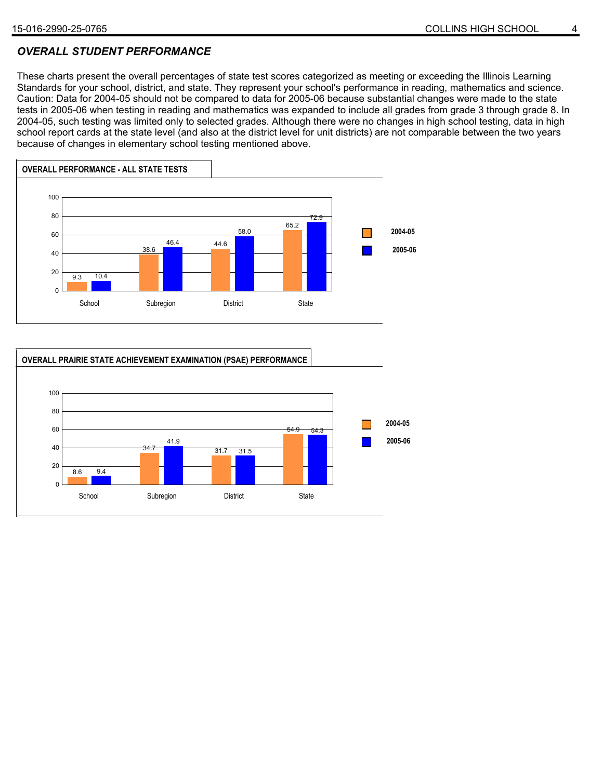### *OVERALL STUDENT PERFORMANCE*

These charts present the overall percentages of state test scores categorized as meeting or exceeding the Illinois Learning Standards for your school, district, and state. They represent your school's performance in reading, mathematics and science. Caution: Data for 2004-05 should not be compared to data for 2005-06 because substantial changes were made to the state tests in 2005-06 when testing in reading and mathematics was expanded to include all grades from grade 3 through grade 8. In 2004-05, such testing was limited only to selected grades. Although there were no changes in high school testing, data in high school report cards at the state level (and also at the district level for unit districts) are not comparable between the two years because of changes in elementary school testing mentioned above.



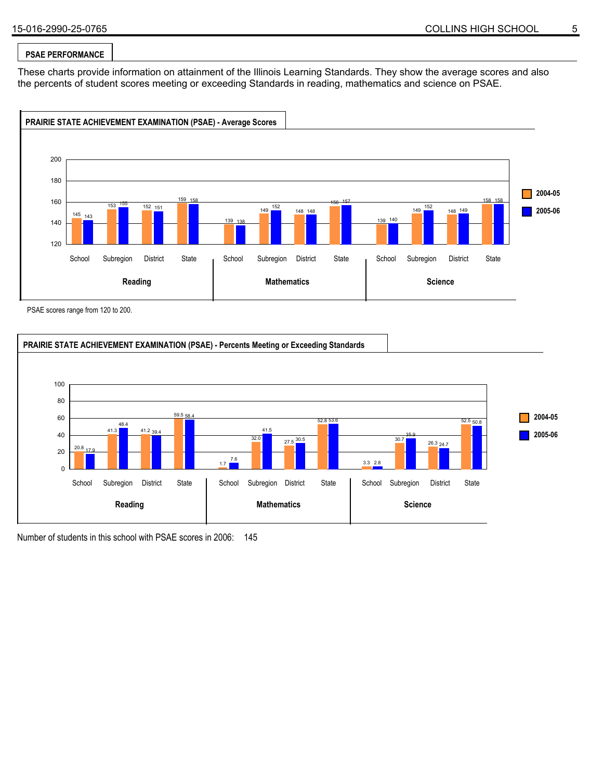#### **PSAE PERFORMANCE**

These charts provide information on attainment of the Illinois Learning Standards. They show the average scores and also the percents of student scores meeting or exceeding Standards in reading, mathematics and science on PSAE.



PSAE scores range from 120 to 200.



Number of students in this school with PSAE scores in 2006: 145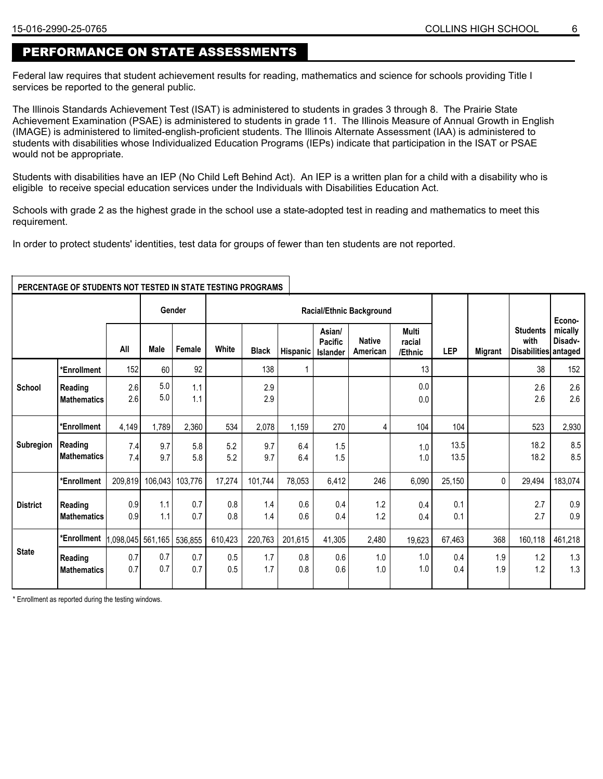## PERFORMANCE ON STATE ASSESSMENTS

Federal law requires that student achievement results for reading, mathematics and science for schools providing Title I services be reported to the general public.

The Illinois Standards Achievement Test (ISAT) is administered to students in grades 3 through 8. The Prairie State Achievement Examination (PSAE) is administered to students in grade 11. The Illinois Measure of Annual Growth in English (IMAGE) is administered to limited-english-proficient students. The Illinois Alternate Assessment (IAA) is administered to students with disabilities whose Individualized Education Programs (IEPs) indicate that participation in the ISAT or PSAE would not be appropriate.

Students with disabilities have an IEP (No Child Left Behind Act). An IEP is a written plan for a child with a disability who is eligible to receive special education services under the Individuals with Disabilities Education Act.

Schools with grade 2 as the highest grade in the school use a state-adopted test in reading and mathematics to meet this requirement.

In order to protect students' identities, test data for groups of fewer than ten students are not reported.

|                 |                               |            |                  | Gender     | <b>Racial/Ethnic Background</b> |              |              |                                      |                           |                            |              |                |                                                 | Econo-             |
|-----------------|-------------------------------|------------|------------------|------------|---------------------------------|--------------|--------------|--------------------------------------|---------------------------|----------------------------|--------------|----------------|-------------------------------------------------|--------------------|
|                 |                               | All        | Male             | Female     | White                           | <b>Black</b> | Hispanic     | Asian/<br><b>Pacific</b><br>Islander | <b>Native</b><br>American | Multi<br>racial<br>/Ethnic | <b>LEP</b>   | <b>Migrant</b> | <b>Students</b><br>with<br>Disabilities antaged | mically<br>Disadv- |
|                 | *Enrollment                   | 152        | 60               | 92         |                                 | 138          | $\mathbf{1}$ |                                      |                           | 13                         |              |                | 38                                              | 152                |
| School          | Reading<br><b>Mathematics</b> | 2.6<br>2.6 | 5.0<br>5.0       | 1.1<br>1.1 |                                 | 2.9<br>2.9   |              |                                      |                           | 0.0<br>0.0                 |              |                | 2.6<br>2.6                                      | 2.6<br>2.6         |
|                 | *Enrollment                   | 4,149      | 1,789            | 2,360      | 534                             | 2,078        | 1,159        | 270                                  | 4                         | 104                        | 104          |                | 523                                             | 2,930              |
| Subregion       | Reading<br><b>Mathematics</b> | 7.4<br>7.4 | 9.7<br>9.7       | 5.8<br>5.8 | 5.2<br>5.2                      | 9.7<br>9.7   | 6.4<br>6.4   | 1.5<br>1.5                           |                           | 1.0<br>1.0                 | 13.5<br>13.5 |                | 18.2<br>18.2                                    | 8.5<br>8.5         |
|                 | *Enrollment                   | 209,819    | 106,043          | 103,776    | 17,274                          | 101,744      | 78,053       | 6,412                                | 246                       | 6,090                      | 25,150       | 0              | 29,494                                          | 183,074            |
| <b>District</b> | Reading<br><b>Mathematics</b> | 0.9<br>0.9 | 1.1<br>1.1       | 0.7<br>0.7 | 0.8<br>0.8                      | 1.4<br>1.4   | 0.6<br>0.6   | 0.4<br>0.4                           | 1.2<br>1.2                | 0.4<br>0.4                 | 0.1<br>0.1   |                | 2.7<br>2.7                                      | 0.9<br>0.9         |
|                 | *Enrollment                   |            | ,098,045 561,165 | 536,855    | 610,423                         | 220,763      | 201,615      | 41,305                               | 2,480                     | 19,623                     | 67,463       | 368            | 160,118                                         | 461,218            |
| <b>State</b>    | Reading<br><b>Mathematics</b> | 0.7<br>0.7 | 0.7<br>0.7       | 0.7<br>0.7 | 0.5<br>0.5                      | 1.7<br>1.7   | 0.8<br>0.8   | 0.6<br>0.6                           | 1.0<br>1.0                | 1.0<br>1.0                 | 0.4<br>0.4   | 1.9<br>1.9     | 1.2<br>1.2                                      | 1.3<br>1.3         |

**PERCENTAGE OF STUDENTS NOT TESTED IN STATE TESTING PROGRAMS**

\* Enrollment as reported during the testing windows.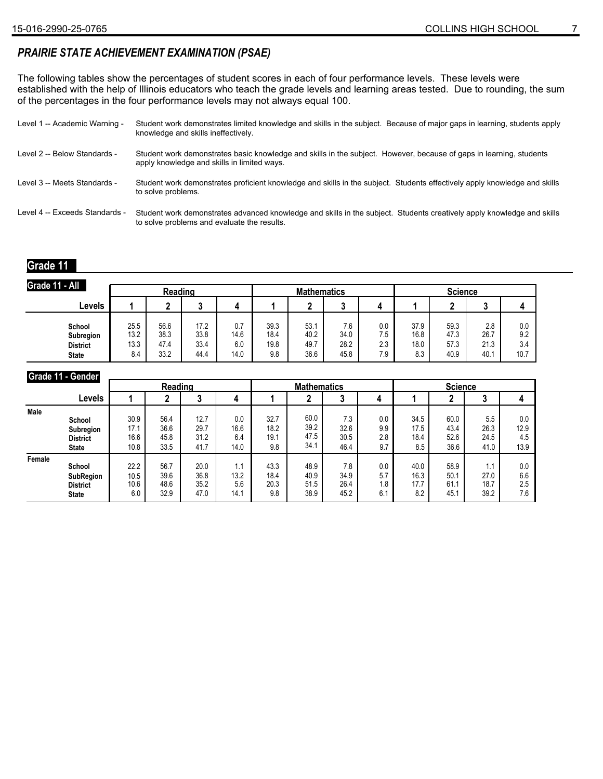### *PRAIRIE STATE ACHIEVEMENT EXAMINATION (PSAE)*

The following tables show the percentages of student scores in each of four performance levels. These levels were established with the help of Illinois educators who teach the grade levels and learning areas tested. Due to rounding, the sum of the percentages in the four performance levels may not always equal 100.

| Level 1 -- Academic Warning -  | Student work demonstrates limited knowledge and skills in the subject. Because of major gaps in learning, students apply<br>knowledge and skills ineffectively.       |
|--------------------------------|-----------------------------------------------------------------------------------------------------------------------------------------------------------------------|
| Level 2 -- Below Standards -   | Student work demonstrates basic knowledge and skills in the subject. However, because of gaps in learning, students<br>apply knowledge and skills in limited ways.    |
| Level 3 -- Meets Standards -   | Student work demonstrates proficient knowledge and skills in the subject. Students effectively apply knowledge and skills<br>to solve problems.                       |
| Level 4 -- Exceeds Standards - | Student work demonstrates advanced knowledge and skills in the subject. Students creatively apply knowledge and skills<br>to solve problems and evaluate the results. |

#### **Grade 11**

| Grade 11 - All                                         |                             |                              |                              |                            |                             |                              |                             |                          |                             |                              |                             |                           |  |
|--------------------------------------------------------|-----------------------------|------------------------------|------------------------------|----------------------------|-----------------------------|------------------------------|-----------------------------|--------------------------|-----------------------------|------------------------------|-----------------------------|---------------------------|--|
|                                                        |                             | Reading                      |                              |                            |                             | <b>Mathematics</b>           |                             |                          |                             | <b>Science</b>               |                             |                           |  |
| Levels                                                 |                             | ◠                            | υ                            |                            |                             | ົ                            | ◠<br>υ                      | д                        |                             | ົ                            |                             |                           |  |
| School<br>Subregion<br><b>District</b><br><b>State</b> | 25.5<br>13.2<br>13.3<br>8.4 | 56.6<br>38.3<br>47.4<br>33.2 | 17.2<br>33.8<br>33.4<br>44.4 | 0.7<br>14.6<br>6.0<br>14.0 | 39.3<br>18.4<br>19.8<br>9.8 | 53.1<br>40.2<br>49.7<br>36.6 | 7.6<br>34.0<br>28.2<br>45.8 | 0.0<br>7.5<br>2.3<br>7.9 | 37.9<br>16.8<br>18.0<br>8.3 | 59.3<br>47.3<br>57.3<br>40.9 | 2.8<br>26.7<br>21.3<br>40.1 | 0.0<br>9.2<br>3.4<br>10.7 |  |

### **Grade 11 - Gender**

|        | $\sim$           | Reading |      |      |      |      | <b>Mathematics</b> |      |     | <b>Science</b> |      |      |      |
|--------|------------------|---------|------|------|------|------|--------------------|------|-----|----------------|------|------|------|
|        | Levels           |         |      |      | 4    |      | L                  | J    | 4   |                |      | a    |      |
| Male   | School           | 30.9    | 56.4 | 12.7 | 0.0  | 32.7 | 60.0               | 7.3  | 0.0 | 34.5           | 60.0 | 5.5  | 0.0  |
|        | Subregion        | 17.1    | 36.6 | 29.7 | 16.6 | 18.2 | 39.2               | 32.6 | 9.9 | 17.5           | 43.4 | 26.3 | 12.9 |
|        | <b>District</b>  | 16.6    | 45.8 | 31.2 | 6.4  | 19.1 | 47.5               | 30.5 | 2.8 | 18.4           | 52.6 | 24.5 | 4.5  |
|        | <b>State</b>     | 10.8    | 33.5 | 41.7 | 14.0 | 9.8  | 34.1               | 46.4 | 9.7 | 8.5            | 36.6 | 41.0 | 13.9 |
| Female | School           | 22.2    | 56.7 | 20.0 | 1.1  | 43.3 | 48.9               | 7.8  | 0.0 | 40.0           | 58.9 | 1.1  | 0.0  |
|        | <b>SubRegion</b> | 10.5    | 39.6 | 36.8 | 13.2 | 18.4 | 40.9               | 34.9 | 5.7 | 16.3           | 50.1 | 27.0 | 6.6  |
|        | <b>District</b>  | 10.6    | 48.6 | 35.2 | 5.6  | 20.3 | 51.5               | 26.4 | 1.8 | 17.7           | 61.1 | 18.7 | 2.5  |
|        | <b>State</b>     | 6.0     | 32.9 | 47.0 | 14.1 | 9.8  | 38.9               | 45.2 | 6.1 | 8.2            | 45.1 | 39.2 | 7.6  |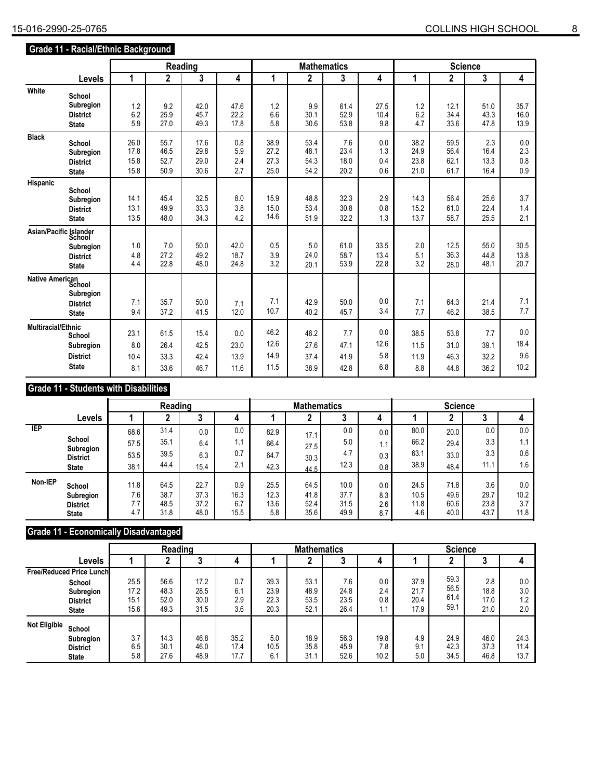|                           | Grade 11 - Racial/Ethnic Background                                                     |                              |                              |                              |                             |                              |                              |                             |                           |                              |                              |                             |                            |  |  |
|---------------------------|-----------------------------------------------------------------------------------------|------------------------------|------------------------------|------------------------------|-----------------------------|------------------------------|------------------------------|-----------------------------|---------------------------|------------------------------|------------------------------|-----------------------------|----------------------------|--|--|
|                           |                                                                                         |                              |                              | Reading                      |                             |                              |                              | <b>Mathematics</b>          |                           |                              | <b>Science</b>               |                             |                            |  |  |
|                           | Levels                                                                                  | 1                            | $\overline{2}$               | 3                            | 4                           | 1                            | 2                            | 3                           | 4                         | 1                            | $\mathbf 2$                  | 3                           | 4                          |  |  |
| White                     | School<br><b>Subregion</b><br><b>District</b><br><b>State</b>                           | 1.2<br>6.2<br>5.9            | 9.2<br>25.9<br>27.0          | 42.0<br>45.7<br>49.3         | 47.6<br>22.2<br>17.8        | 1.2<br>6.6<br>5.8            | 9.9<br>30.1<br>30.6          | 61.4<br>52.9<br>53.8        | 27.5<br>10.4<br>9.8       | 1.2<br>6.2<br>4.7            | 12.1<br>34.4<br>33.6         | 51.0<br>43.3<br>47.8        | 35.7<br>16.0<br>13.9       |  |  |
| <b>Black</b>              | School<br><b>Subregion</b><br><b>District</b><br><b>State</b>                           | 26.0<br>17.8<br>15.8<br>15.8 | 55.7<br>46.5<br>52.7<br>50.9 | 17.6<br>29.8<br>29.0<br>30.6 | 0.8<br>5.9<br>2.4<br>2.7    | 38.9<br>27.2<br>27.3<br>25.0 | 53.4<br>48.1<br>54.3<br>54.2 | 7.6<br>23.4<br>18.0<br>20.2 | 0.0<br>1.3<br>0.4<br>0.6  | 38.2<br>24.9<br>23.8<br>21.0 | 59.5<br>56.4<br>62.1<br>61.7 | 2.3<br>16.4<br>13.3<br>16.4 | 0.0<br>2.3<br>0.8<br>0.9   |  |  |
| <b>Hispanic</b>           | School<br>Subregion<br><b>District</b><br><b>State</b>                                  | 14.1<br>13.1<br>13.5         | 45.4<br>49.9<br>48.0         | 32.5<br>33.3<br>34.3         | 8.0<br>3.8<br>4.2           | 15.9<br>15.0<br>14.6         | 48.8<br>53.4<br>51.9         | 32.3<br>30.8<br>32.2        | 2.9<br>0.8<br>1.3         | 14.3<br>15.2<br>13.7         | 56.4<br>61.0<br>58.7         | 25.6<br>22.4<br>25.5        | 3.7<br>1.4<br>2.1          |  |  |
|                           | Asian/Pacific Islander<br>School<br><b>Subregion</b><br><b>District</b><br><b>State</b> | 1.0<br>4.8<br>4.4            | 7.0<br>27.2<br>22.8          | 50.0<br>49.2<br>48.0         | 42.0<br>18.7<br>24.8        | 0.5<br>3.9<br>3.2            | 5.0<br>24.0<br>20.1          | 61.0<br>58.7<br>53.9        | 33.5<br>13.4<br>22.8      | 2.0<br>5.1<br>3.2            | 12.5<br>36.3<br>28.0         | 55.0<br>44.8<br>48.1        | 30.5<br>13.8<br>20.7       |  |  |
| Native American<br>School | Subregion<br><b>District</b><br><b>State</b>                                            | 7.1<br>9.4                   | 35.7<br>37.2                 | 50.0<br>41.5                 | 7.1<br>12.0                 | 7.1<br>10.7                  | 42.9<br>40.2                 | 50.0<br>45.7                | 0.0<br>3.4                | 7.1<br>7.7                   | 64.3<br>46.2                 | 21.4<br>38.5                | 7.1<br>7.7                 |  |  |
| <b>Multiracial/Ethnic</b> | School<br><b>Subregion</b><br><b>District</b><br><b>State</b>                           | 23.1<br>8.0<br>10.4<br>8.1   | 61.5<br>26.4<br>33.3<br>33.6 | 15.4<br>42.5<br>42.4<br>46.7 | 0.0<br>23.0<br>13.9<br>11.6 | 46.2<br>12.6<br>14.9<br>11.5 | 46.2<br>27.6<br>37.4<br>38.9 | 7.7<br>47.1<br>41.9<br>42.8 | 0.0<br>12.6<br>5.8<br>6.8 | 38.5<br>11.5<br>11.9<br>8.8  | 53.8<br>31.0<br>46.3<br>44.8 | 7.7<br>39.1<br>32.2<br>36.2 | 0.0<br>18.4<br>9.6<br>10.2 |  |  |

### **Grade 11 - Students with Disabilities**

|            |                                                        | Reading                   |                              |                              |                            |                             | <b>Mathematics</b>           |                              |                          | <b>Science</b>              |                              |                             |                            |  |
|------------|--------------------------------------------------------|---------------------------|------------------------------|------------------------------|----------------------------|-----------------------------|------------------------------|------------------------------|--------------------------|-----------------------------|------------------------------|-----------------------------|----------------------------|--|
|            | Levels                                                 |                           |                              | ∩<br>u                       |                            |                             |                              | J                            |                          |                             |                              |                             |                            |  |
| <b>IEP</b> |                                                        | 68.6                      | 31.4                         | 0.0                          | 0.0                        | 82.9                        | 17.1                         | 0.0                          | 0.0                      | 80.0                        | 20.0                         | 0.0                         | 0.0                        |  |
|            | School                                                 | 57.5                      | 35.1                         | 6.4                          | 1.1                        | 66.4                        | 27.5                         | 5.0                          | 1.1                      | 66.2                        | 29.4                         | 3.3                         | 1.1                        |  |
|            | Subregion<br><b>District</b>                           | 53.5                      | 39.5                         | 6.3                          | 0.7                        | 64.7                        | 30.3                         | 4.7                          | 0.3                      | 63.1                        | 33.0                         | 3.3                         | 0.6                        |  |
|            | <b>State</b>                                           | 38.1                      | 44.4                         | 15.4                         | 2.1                        | 42.3                        | 44.5                         | 12.3                         | 0.8                      | 38.9                        | 48.4                         | 11.1                        | 1.6                        |  |
| Non-IEP    | School<br>Subregion<br><b>District</b><br><b>State</b> | 11.8<br>7.6<br>7.7<br>4.7 | 64.5<br>38.7<br>48.5<br>31.8 | 22.7<br>37.3<br>37.2<br>48.0 | 0.9<br>16.3<br>6.7<br>15.5 | 25.5<br>12.3<br>13.6<br>5.8 | 64.5<br>41.8<br>52.4<br>35.6 | 10.0<br>37.7<br>31.5<br>49.9 | 0.0<br>8.3<br>2.6<br>8.7 | 24.5<br>10.5<br>11.8<br>4.6 | 71.8<br>49.6<br>60.6<br>40.0 | 3.6<br>29.7<br>23.8<br>43.7 | 0.0<br>10.2<br>3.7<br>11.8 |  |

### **Grade 11 - Economically Disadvantaged**

|                     |                                                        |                              | Reading                      |                              |                          |                              | <b>Mathematics</b>           |                             |                          | <b>Science</b>               |                              |                             |                          |  |
|---------------------|--------------------------------------------------------|------------------------------|------------------------------|------------------------------|--------------------------|------------------------------|------------------------------|-----------------------------|--------------------------|------------------------------|------------------------------|-----------------------------|--------------------------|--|
|                     | Levels                                                 |                              |                              | ა                            | 4                        |                              |                              | ა                           | 4                        |                              |                              |                             |                          |  |
|                     | Free/Reduced Price Lunch                               |                              |                              |                              |                          |                              |                              |                             |                          |                              |                              |                             |                          |  |
|                     | School<br>Subregion<br><b>District</b><br><b>State</b> | 25.5<br>17.2<br>15.1<br>15.6 | 56.6<br>48.3<br>52.0<br>49.3 | 17.2<br>28.5<br>30.0<br>31.5 | 0.7<br>6.1<br>2.9<br>3.6 | 39.3<br>23.9<br>22.3<br>20.3 | 53.1<br>48.9<br>53.5<br>52.1 | 7.6<br>24.8<br>23.5<br>26.4 | 0.0<br>2.4<br>0.8<br>1.1 | 37.9<br>21.7<br>20.4<br>17.9 | 59.3<br>56.5<br>61.4<br>59.1 | 2.8<br>18.8<br>17.0<br>21.0 | 0.0<br>3.0<br>1.2<br>2.0 |  |
| <b>Not Eligible</b> | School<br>Subregion<br><b>District</b><br><b>State</b> | 3.7<br>6.5<br>5.8            | 14.3<br>30.1<br>27.6         | 46.8<br>46.0<br>48.9         | 35.2<br>17.4<br>17.7     | 5.0<br>10.5<br>6.1           | 18.9<br>35.8<br>31.1         | 56.3<br>45.9<br>52.6        | 19.8<br>7.8<br>10.2      | 4.9<br>9.1<br>5.0            | 24.9<br>42.3<br>34.5         | 46.0<br>37.3<br>46.8        | 24.3<br>11.4<br>13.7     |  |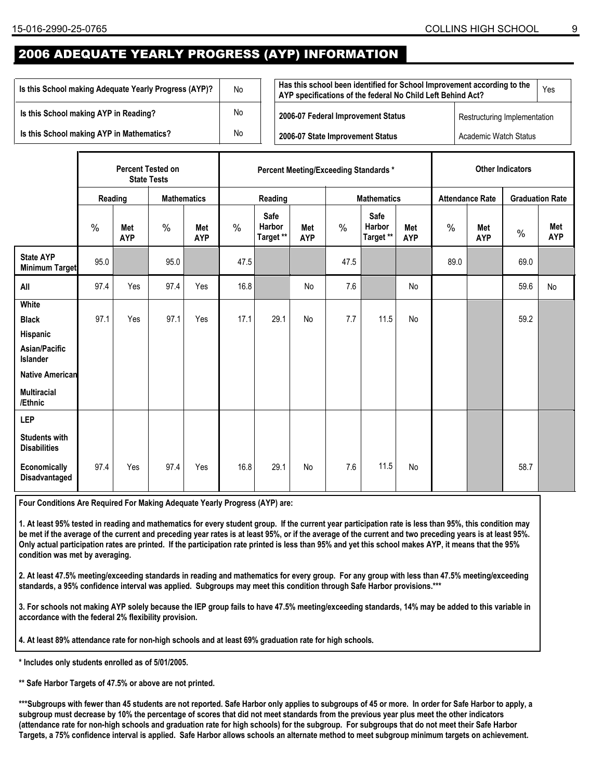## 2006 ADEQUATE YEARLY PROGRESS (AYP) INFORMATION

| Is this School making Adequate Yearly Progress (AYP)? | No | Has this school been identified for School Improvement according to the<br>AYP specifications of the federal No Child Left Behind Act? |                              | Yes |  |
|-------------------------------------------------------|----|----------------------------------------------------------------------------------------------------------------------------------------|------------------------------|-----|--|
| Is this School making AYP in Reading?                 | No | 2006-07 Federal Improvement Status                                                                                                     | Restructuring Implementation |     |  |
| Is this School making AYP in Mathematics?             | No | 2006-07 State Improvement Status                                                                                                       | Academic Watch Status        |     |  |

|                                              | <b>Percent Tested on</b><br><b>State Tests</b> |                   |                    |                   | <b>Percent Meeting/Exceeding Standards *</b> |                                    |                   |                    |                                    |                   |                        | <b>Other Indicators</b> |                        |                   |  |
|----------------------------------------------|------------------------------------------------|-------------------|--------------------|-------------------|----------------------------------------------|------------------------------------|-------------------|--------------------|------------------------------------|-------------------|------------------------|-------------------------|------------------------|-------------------|--|
|                                              | Reading                                        |                   | <b>Mathematics</b> |                   | Reading                                      |                                    |                   | <b>Mathematics</b> |                                    |                   | <b>Attendance Rate</b> |                         | <b>Graduation Rate</b> |                   |  |
|                                              | $\frac{0}{0}$                                  | Met<br><b>AYP</b> | $\%$               | Met<br><b>AYP</b> | $\%$                                         | Safe<br><b>Harbor</b><br>Target ** | Met<br><b>AYP</b> | $\frac{0}{0}$      | Safe<br><b>Harbor</b><br>Target ** | Met<br><b>AYP</b> | $\frac{0}{0}$          | Met<br><b>AYP</b>       | $\frac{0}{0}$          | Met<br><b>AYP</b> |  |
| <b>State AYP</b><br><b>Minimum Target</b>    | 95.0                                           |                   | 95.0               |                   | 47.5                                         |                                    |                   | 47.5               |                                    |                   | 89.0                   |                         | 69.0                   |                   |  |
| All                                          | 97.4                                           | Yes               | 97.4               | Yes               | 16.8                                         |                                    | No                | 7.6                |                                    | No                |                        |                         | 59.6                   | <b>No</b>         |  |
| White<br><b>Black</b>                        | 97.1                                           | Yes               | 97.1               | Yes               | 17.1                                         | 29.1                               | No                | 7.7                | 11.5                               | No                |                        |                         | 59.2                   |                   |  |
| Hispanic<br>Asian/Pacific<br><b>Islander</b> |                                                |                   |                    |                   |                                              |                                    |                   |                    |                                    |                   |                        |                         |                        |                   |  |
| <b>Native American</b>                       |                                                |                   |                    |                   |                                              |                                    |                   |                    |                                    |                   |                        |                         |                        |                   |  |
| <b>Multiracial</b><br>/Ethnic                |                                                |                   |                    |                   |                                              |                                    |                   |                    |                                    |                   |                        |                         |                        |                   |  |
| <b>LEP</b>                                   |                                                |                   |                    |                   |                                              |                                    |                   |                    |                                    |                   |                        |                         |                        |                   |  |
| <b>Students with</b><br><b>Disabilities</b>  |                                                |                   |                    |                   |                                              |                                    |                   |                    |                                    |                   |                        |                         |                        |                   |  |
| Economically<br>Disadvantaged                | 97.4                                           | Yes               | 97.4               | Yes               | 16.8                                         | 29.1                               | <b>No</b>         | 7.6                | 11.5                               | <b>No</b>         |                        |                         | 58.7                   |                   |  |

**Four Conditions Are Required For Making Adequate Yearly Progress (AYP) are:**

**1. At least 95% tested in reading and mathematics for every student group. If the current year participation rate is less than 95%, this condition may be met if the average of the current and preceding year rates is at least 95%, or if the average of the current and two preceding years is at least 95%. Only actual participation rates are printed. If the participation rate printed is less than 95% and yet this school makes AYP, it means that the 95% condition was met by averaging.**

**2. At least 47.5% meeting/exceeding standards in reading and mathematics for every group. For any group with less than 47.5% meeting/exceeding standards, a 95% confidence interval was applied. Subgroups may meet this condition through Safe Harbor provisions.\*\*\*** 

**3. For schools not making AYP solely because the IEP group fails to have 47.5% meeting/exceeding standards, 14% may be added to this variable in accordance with the federal 2% flexibility provision.**

**4. At least 89% attendance rate for non-high schools and at least 69% graduation rate for high schools**.

**\* Includes only students enrolled as of 5/01/2005.**

**\*\* Safe Harbor Targets of 47.5% or above are not printed.**

**\*\*\*Subgroups with fewer than 45 students are not reported. Safe Harbor only applies to subgroups of 45 or more. In order for Safe Harbor to apply, a subgroup must decrease by 10% the percentage of scores that did not meet standards from the previous year plus meet the other indicators (attendance rate for non-high schools and graduation rate for high schools) for the subgroup. For subgroups that do not meet their Safe Harbor Targets, a 75% confidence interval is applied. Safe Harbor allows schools an alternate method to meet subgroup minimum targets on achievement.**